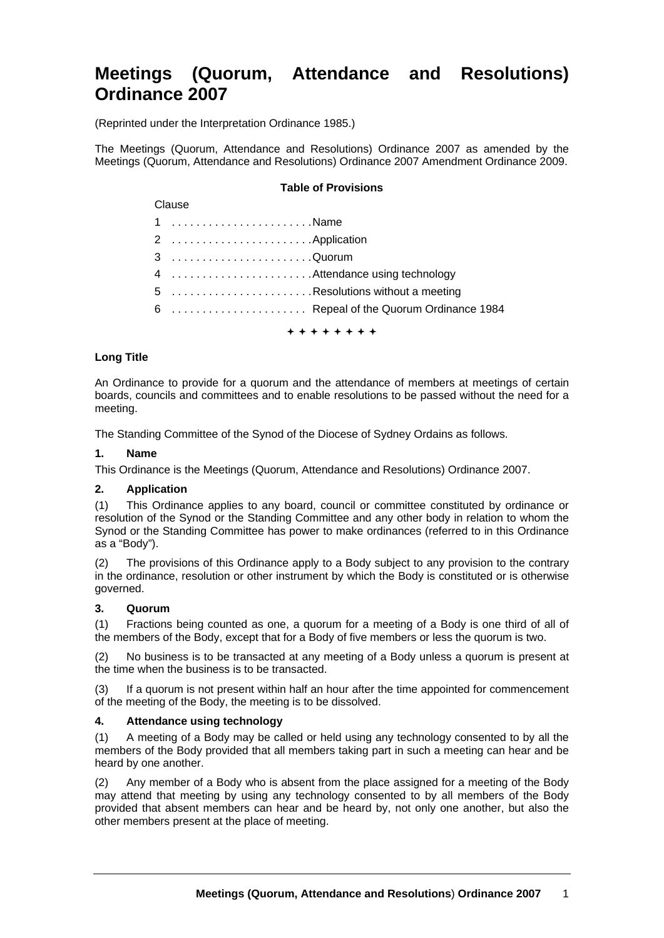# **Meetings (Quorum, Attendance and Resolutions) Ordinance 2007**

(Reprinted under the Interpretation Ordinance 1985.)

The Meetings (Quorum, Attendance and Resolutions) Ordinance 2007 as amended by the Meetings (Quorum, Attendance and Resolutions) Ordinance 2007 Amendment Ordinance 2009.

## **Table of Provisions**

#### Clause

| 1 Name                                 |
|----------------------------------------|
|                                        |
| 3 Quorum                               |
|                                        |
| 5 Resolutions without a meeting        |
| 6  Repeal of the Quorum Ordinance 1984 |
|                                        |

+ + + + + + + +

### **Long Title**

An Ordinance to provide for a quorum and the attendance of members at meetings of certain boards, councils and committees and to enable resolutions to be passed without the need for a meeting.

The Standing Committee of the Synod of the Diocese of Sydney Ordains as follows.

#### **1. Name**

This Ordinance is the Meetings (Quorum, Attendance and Resolutions) Ordinance 2007.

## **2. Application**

(1) This Ordinance applies to any board, council or committee constituted by ordinance or resolution of the Synod or the Standing Committee and any other body in relation to whom the Synod or the Standing Committee has power to make ordinances (referred to in this Ordinance as a "Body").

(2) The provisions of this Ordinance apply to a Body subject to any provision to the contrary in the ordinance, resolution or other instrument by which the Body is constituted or is otherwise governed.

#### **3. Quorum**

(1) Fractions being counted as one, a quorum for a meeting of a Body is one third of all of the members of the Body, except that for a Body of five members or less the quorum is two.

(2) No business is to be transacted at any meeting of a Body unless a quorum is present at the time when the business is to be transacted.

(3) If a quorum is not present within half an hour after the time appointed for commencement of the meeting of the Body, the meeting is to be dissolved.

#### **4. Attendance using technology**

(1) A meeting of a Body may be called or held using any technology consented to by all the members of the Body provided that all members taking part in such a meeting can hear and be heard by one another.

(2) Any member of a Body who is absent from the place assigned for a meeting of the Body may attend that meeting by using any technology consented to by all members of the Body provided that absent members can hear and be heard by, not only one another, but also the other members present at the place of meeting.